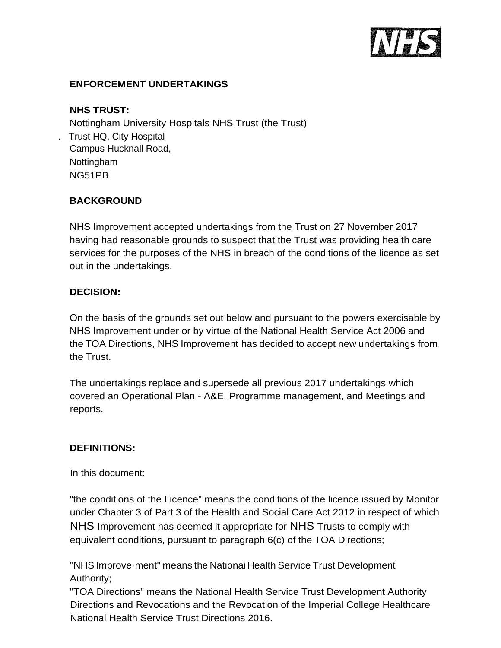

# **ENFORCEMENT UNDERTAKINGS**

#### **NHS TRUST:**

Nottingham University Hospitals NHS Trust (the Trust) . Trust HQ, City Hospital Campus Hucknall Road, Nottingham NG51PB

# **BACKGROUND**

NHS Improvement accepted undertakings from the Trust on 27 November 2017 having had reasonable grounds to suspect that the Trust was providing health care services for the purposes of the NHS in breach of the conditions of the licence as set out in the undertakings.

#### **DECISION:**

On the basis of the grounds set out below and pursuant to the powers exercisable by NHS Improvement under or by virtue of the National Health Service Act 2006 and the TOA Directions, NHS Improvement has decided to accept new undertakings from the Trust.

The undertakings replace and supersede all previous 2017 undertakings which covered an Operational Plan - A&E, Programme management, and Meetings and reports.

### **DEFINITIONS:**

In this document:

"the conditions of the Licence" means the conditions of the licence issued by Monitor under Chapter 3 of Part 3 of the Health and Social Care Act 2012 in respect of which NHS Improvement has deemed it appropriate for NHS Trusts to comply with equivalent conditions, pursuant to paragraph 6(c) of the TOA Directions;

"NHS lmprove·ment" means the Nationai Health Service Trust Development Authority;

"TOA Directions" means the National Health Service Trust Development Authority Directions and Revocations and the Revocation of the Imperial College Healthcare National Health Service Trust Directions 2016.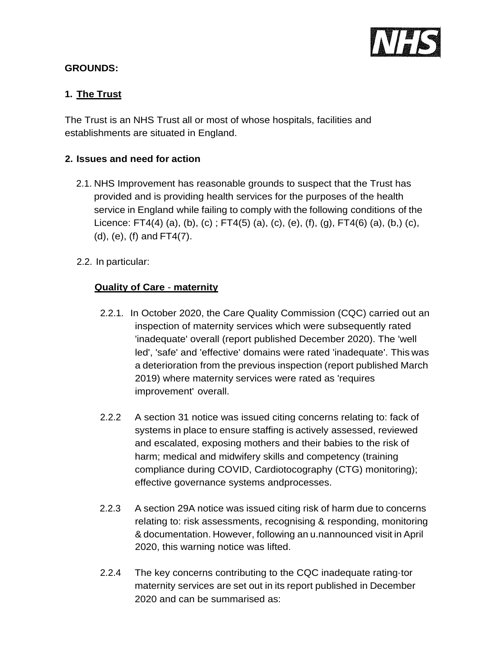

## **GROUNDS:**

# **1. The Trust**

The Trust is an NHS Trust all or most of whose hospitals, facilities and establishments are situated in England.

## **2. Issues and need for action**

- 2.1. NHS Improvement has reasonable grounds to suspect that the Trust has provided and is providing health services for the purposes of the health service in England while failing to comply with the following conditions of the Licence: FT4(4) (a), (b), (c) ; FT4(5) (a), (c), (e), (f), (g), FT4(6) (a), (b,) (c), (d), (e), (f) and FT4(7).
- 2.2. In particular:

### **Quality of Care** - **maternity**

- 2.2.1. In October 2020, the Care Quality Commission (CQC) carried out an inspection of maternity services which were subsequently rated 'inadequate' overall (report published December 2020). The 'well led', 'safe' and 'effective' domains were rated 'inadequate'. This was a deterioration from the previous inspection (report published March 2019) where maternity services were rated as 'requires improvement' overall.
- 2.2.2 A section 31 notice was issued citing concerns relating to: fack of systems in place to ensure staffing is actively assessed, reviewed and escalated, exposing mothers and their babies to the risk of harm; medical and midwifery skills and competency (training compliance during COVID, Cardiotocography (CTG) monitoring); effective governance systems andprocesses.
- 2.2.3 A section 29A notice was issued citing risk of harm due to concerns relating to: risk assessments, recognising & responding, monitoring & documentation. However, following an u.nannounced visit in April 2020, this warning notice was lifted.
- 2.2.4 The key concerns contributing to the CQC inadequate rating·tor maternity services are set out in its report published in December 2020 and can be summarised as: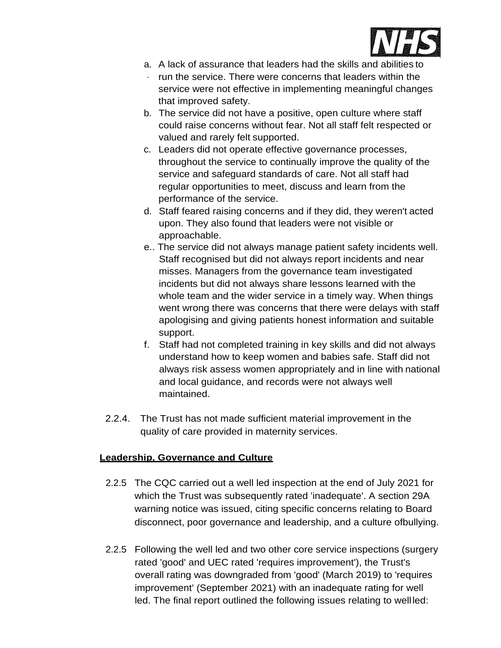

- a. A lack of assurance that leaders had the skills and abilities to
- · run the service. There were concerns that leaders within the service were not effective in implementing meaningful changes that improved safety.
- b. The service did not have a positive, open culture where staff could raise concerns without fear. Not all staff felt respected or valued and rarely felt supported.
- c. Leaders did not operate effective governance processes, throughout the service to continually improve the quality of the service and safeguard standards of care. Not all staff had regular opportunities to meet, discuss and learn from the performance of the service.
- d. Staff feared raising concerns and if they did, they weren't acted upon. They also found that leaders were not visible or approachable.
- e.. The service did not always manage patient safety incidents well. Staff recognised but did not always report incidents and near misses. Managers from the governance team investigated incidents but did not always share lessons learned with the whole team and the wider service in a timely way. When things went wrong there was concerns that there were delays with staff apologising and giving patients honest information and suitable support.
- f. Staff had not completed training in key skills and did not always understand how to keep women and babies safe. Staff did not always risk assess women appropriately and in line with national and local guidance, and records were not always well maintained.
- 2.2.4. The Trust has not made sufficient material improvement in the quality of care provided in maternity services.

# **Leadership, Governance and Culture**

- 2.2.5 The CQC carried out a well led inspection at the end of July 2021 for which the Trust was subsequently rated 'inadequate'. A section 29A warning notice was issued, citing specific concerns relating to Board disconnect, poor governance and leadership, and a culture ofbullying.
- 2.2.5 Following the well led and two other core service inspections (surgery rated 'good' and UEC rated 'requires improvement'), the Trust's overall rating was downgraded from 'good' (March 2019) to 'requires improvement' (September 2021) with an inadequate rating for well led. The final report outlined the following issues relating to well led: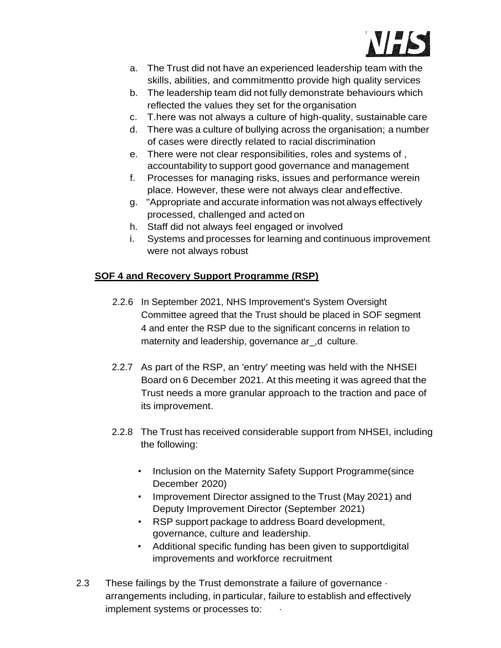

- a. The Trust did not have an experienced leadership team with the skills, abilities, and commitmentto provide high quality services
- b. The leadership team did not fully demonstrate behaviours which reflected the values they set for the organisation
- c. T.here was not always a culture of high-quality, sustainable care
- d. There was a culture of bullying across the organisation; a number of cases were directly related to racial discrimination
- e. There were not clear responsibilities, roles and systems of , accountability to support good governance and management
- f. Processes for managing risks, issues and performance werein place. However, these were not always clear andeffective.
- g. "Appropriate and accurate information was not always effectively processed, challenged and acted on
- h. Staff did not always feel engaged or involved
- i. Systems and processes for learning and continuous improvement were not always robust

# **SOF 4 and Recovery Support Programme (RSP)**

- 2.2.6 In September 2021, NHS Improvement's System Oversight Committee agreed that the Trust should be placed in SOF segment 4 and enter the RSP due to the significant concerns in relation to maternity and leadership, governance ar\_,d culture.
- 2.2.7 As part of the RSP, an 'entry' meeting was held with the NHSEI Board on 6 December 2021. At this meeting it was agreed that the Trust needs a more granular approach to the traction and pace of its improvement.
- 2.2.8 The Trust has received considerable support from NHSEI, including the following:
	- Inclusion on the Maternity Safety Support Programme(since December 2020)
	- Improvement Director assigned to the Trust (May 2021) and Deputy Improvement Director (September 2021)
	- RSP support package to address Board development, governance, culture and leadership.
	- Additional specific funding has been given to supportdigital improvements and workforce recruitment
- 2.3 These failings by the Trust demonstrate a failure of governance  $\cdot$ arrangements including, in particular, failure to establish and effectively implement systems or processes to: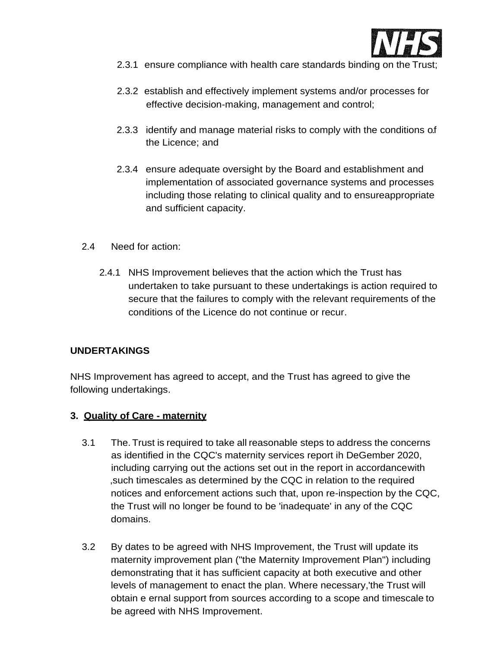

- 2.3.1 ensure compliance with health care standards binding on the Trust;
- 2.3.2 establish and effectively implement systems and/or processes for effective decision-making, management and control;
- 2.3.3 identify and manage material risks to comply with the conditions of the Licence; and
- 2.3.4 ensure adequate oversight by the Board and establishment and implementation of associated governance systems and processes including those relating to clinical quality and to ensureappropriate and sufficient capacity.
- 2.4 Need for action:
	- 2.4.1 NHS Improvement believes that the action which the Trust has undertaken to take pursuant to these undertakings is action required to secure that the failures to comply with the relevant requirements of the conditions of the Licence do not continue or recur.

### **UNDERTAKINGS**

NHS Improvement has agreed to accept, and the Trust has agreed to give the following undertakings.

### **3. Quality of Care - maternity**

- 3.1 The.Trust is required to take all reasonable steps to address the concerns as identified in the CQC's maternity services report ih DeGember 2020, including carrying out the actions set out in the report in accordancewith ,such timescales as determined by the CQC in relation to the required notices and enforcement actions such that, upon re-inspection by the CQC, the Trust will no longer be found to be 'inadequate' in any of the CQC domains.
- 3.2 By dates to be agreed with NHS Improvement, the Trust will update its maternity improvement plan ("the Maternity Improvement Plan") including demonstrating that it has sufficient capacity at both executive and other levels of management to enact the plan. Where necessary,'the Trust will obtain e ernal support from sources according to a scope and timescale to be agreed with NHS Improvement.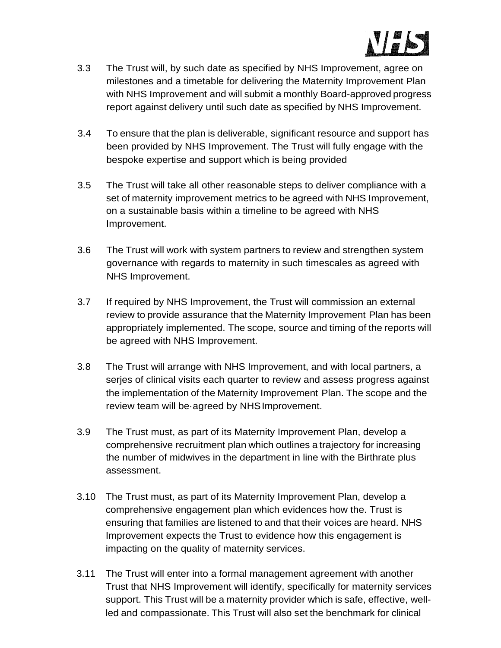

- 3.3 The Trust will, by such date as specified by NHS Improvement, agree on milestones and a timetable for delivering the Maternity Improvement Plan with NHS Improvement and will submit a monthly Board-approved progress report against delivery until such date as specified by NHS Improvement.
- 3.4 To ensure that the plan is deliverable, significant resource and support has been provided by NHS Improvement. The Trust will fully engage with the bespoke expertise and support which is being provided
- 3.5 The Trust will take all other reasonable steps to deliver compliance with a set of maternity improvement metrics to be agreed with NHS Improvement, on a sustainable basis within a timeline to be agreed with NHS Improvement.
- 3.6 The Trust will work with system partners to review and strengthen system governance with regards to maternity in such timescales as agreed with NHS Improvement.
- 3.7 If required by NHS Improvement, the Trust will commission an external review to provide assurance that the Maternity Improvement Plan has been appropriately implemented. The scope, source and timing of the reports will be agreed with NHS Improvement.
- 3.8 The Trust will arrange with NHS Improvement, and with local partners, a serjes of clinical visits each quarter to review and assess progress against the implementation of the Maternity Improvement Plan. The scope and the review team will be·agreed by NHSImprovement.
- 3.9 The Trust must, as part of its Maternity Improvement Plan, develop a comprehensive recruitment plan which outlines a trajectory for increasing the number of midwives in the department in line with the Birthrate plus assessment.
- 3.10 The Trust must, as part of its Maternity Improvement Plan, develop a comprehensive engagement plan which evidences how the. Trust is ensuring that families are listened to and that their voices are heard. NHS Improvement expects the Trust to evidence how this engagement is impacting on the quality of maternity services.
- 3.11 The Trust will enter into a formal management agreement with another Trust that NHS Improvement will identify, specifically for maternity services support. This Trust will be a maternity provider which is safe, effective, wellled and compassionate. This Trust will also set the benchmark for clinical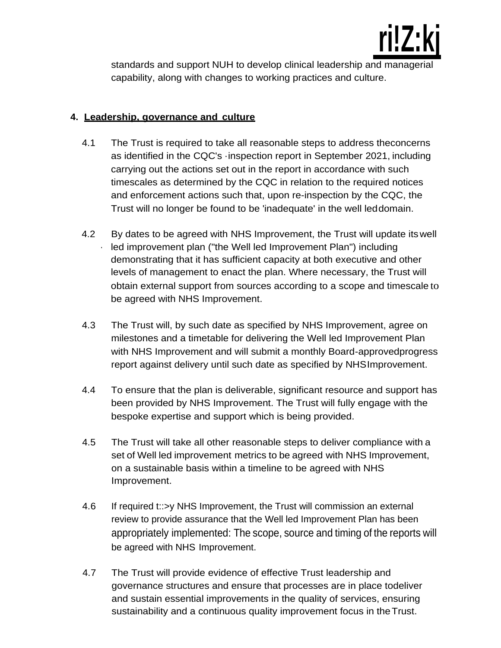

standards and support NUH to develop clinical leadership and managerial capability, along with changes to working practices and culture.

## **4. Leadership, governance and culture**

- 4.1 The Trust is required to take all reasonable steps to address theconcerns as identified in the CQC's ·inspection report in September 2021, including carrying out the actions set out in the report in accordance with such timescales as determined by the CQC in relation to the required notices and enforcement actions such that, upon re-inspection by the CQC, the Trust will no longer be found to be 'inadequate' in the well leddomain.
- 4.2 By dates to be agreed with NHS Improvement, the Trust will update itswell led improvement plan ("the Well led Improvement Plan") including demonstrating that it has sufficient capacity at both executive and other levels of management to enact the plan. Where necessary, the Trust will obtain external support from sources according to a scope and timescale to be agreed with NHS Improvement.
- 4.3 The Trust will, by such date as specified by NHS Improvement, agree on milestones and a timetable for delivering the Well led Improvement Plan with NHS Improvement and will submit a monthly Board-approvedprogress report against delivery until such date as specified by NHSImprovement.
- 4.4 To ensure that the plan is deliverable, significant resource and support has been provided by NHS Improvement. The Trust will fully engage with the bespoke expertise and support which is being provided.
- 4.5 The Trust will take all other reasonable steps to deliver compliance with a set of Well led improvement metrics to be agreed with NHS Improvement, on a sustainable basis within a timeline to be agreed with NHS Improvement.
- 4.6 If required t::>y NHS Improvement, the Trust will commission an external review to provide assurance that the Well led Improvement Plan has been appropriately implemented: The scope, source and timing of the reports will be agreed with NHS Improvement.
- 4.7 The Trust will provide evidence of effective Trust leadership and governance structures and ensure that processes are in place todeliver and sustain essential improvements in the quality of services, ensuring sustainability and a continuous quality improvement focus in theTrust.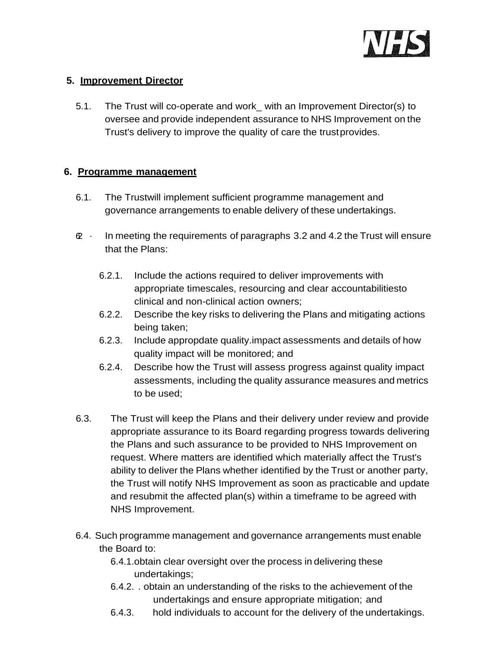

# **5. Improvement Director**

5.1. The Trust will co-operate and work\_ with an Improvement Director(s) to oversee and provide independent assurance to NHS Improvement on the Trust's delivery to improve the quality of care the trustprovides.

# **6. Programme management**

- 6.1. The Trustwill implement sufficient programme management and governance arrangements to enable delivery of these undertakings.
- $\infty$  · In meeting the requirements of paragraphs 3.2 and 4.2 the Trust will ensure that the Plans:
	- 6.2.1. Include the actions required to deliver improvements with appropriate timescales, resourcing and clear accountabilitiesto clinical and non-clinical action owners;
	- 6.2.2. Describe the key risks to delivering the Plans and mitigating actions being taken;
	- 6.2.3. Include appropdate quality.impact assessments and details of how quality impact will be monitored; and
	- 6.2.4. Describe how the Trust will assess progress against quality impact assessments, including the quality assurance measures and metrics to be used;
- 6.3. The Trust will keep the Plans and their delivery under review and provide appropriate assurance to its Board regarding progress towards delivering the Plans and such assurance to be provided to NHS Improvement on request. Where matters are identified which materially affect the Trust's ability to deliver the Plans whether identified by the Trust or another party, the Trust will notify NHS Improvement as soon as practicable and update and resubmit the affected plan(s) within a timeframe to be agreed with NHS Improvement.
- 6.4. Such programme management and governance arrangements must enable the Board to:
	- 6.4.1.obtain clear oversight over the process in delivering these undertakings;
	- 6.4.2. . obtain an understanding of the risks to the achievement of the undertakings and ensure appropriate mitigation; and
	- 6.4.3. hold individuals to account for the delivery of the undertakings.